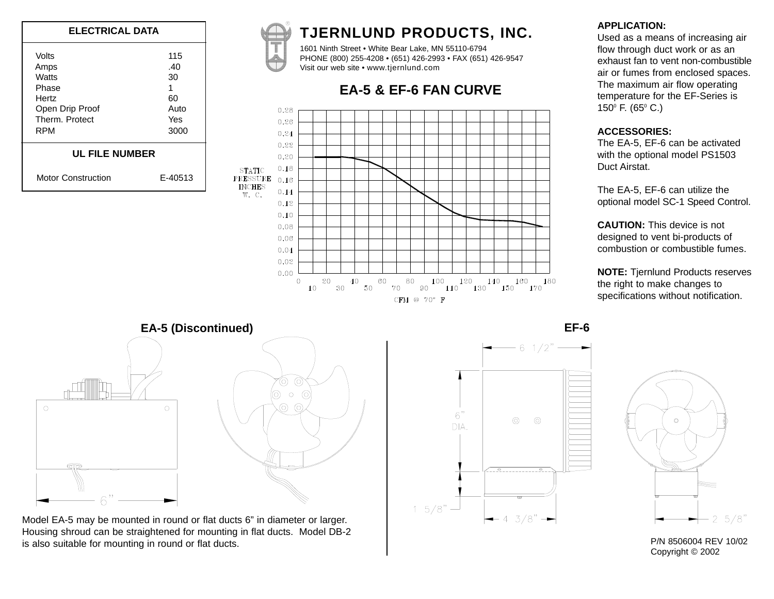| <b>ELECTRICAL DATA</b>                                                                      |                                               |  |
|---------------------------------------------------------------------------------------------|-----------------------------------------------|--|
| Volts<br>Amps<br>Watts<br>Phase<br>Hertz<br>Open Drip Proof<br>Therm. Protect<br><b>RPM</b> | 115<br>.40<br>30<br>60<br>Auto<br>Yes<br>3000 |  |
| UL FILE NUMBER                                                                              |                                               |  |
| <b>Motor Construction</b>                                                                   | E-40513                                       |  |

# **TJERNLUND PRODUCTS, INC.**

1601 Ninth Street • White Bear Lake, MN 55110-6794 PHONE (800) 255-4208 • (651) 426-2993 • FAX (651) 426-9547 Visit our web site • www.tjernlund.com

### **EA-5 & EF-6 FAN CURVE**



#### **APPLICATION:**

Used as a means of increasing air flow through duct work or as an exhaust fan to vent non-combustible air or fumes from enclosed spaces. The maximum air flow operating temperature for the EF-Series is  $150^{\circ}$  F. (65 $^{\circ}$  C.)

#### **ACCESSORIES:**

The EA-5, EF-6 can be activated with the optional model PS1503 Duct Airstat.

The EA-5, EF-6 can utilize the optional model SC-1 Speed Control.

**CAUTION:** This device is not designed to vent bi-products of combustion or combustible fumes.

**NOTE:** Tjernlund Products reserves the right to make changes to specifications without notification.



Model EA-5 may be mounted in round or flat ducts 6" in diameter or larger. Housing shroud can be straightened for mounting in flat ducts. Model DB-2 is also suitable for mounting in round or flat ducts.

 $6 \frac{1}{2}$  - $6"$  $\circledcirc$  $\circledcirc$ DIA.  $1\;\;5/8"$  —  $-4$  3/8"  $-$ 



P/N 8506004 REV 10/02 Copyright © 2002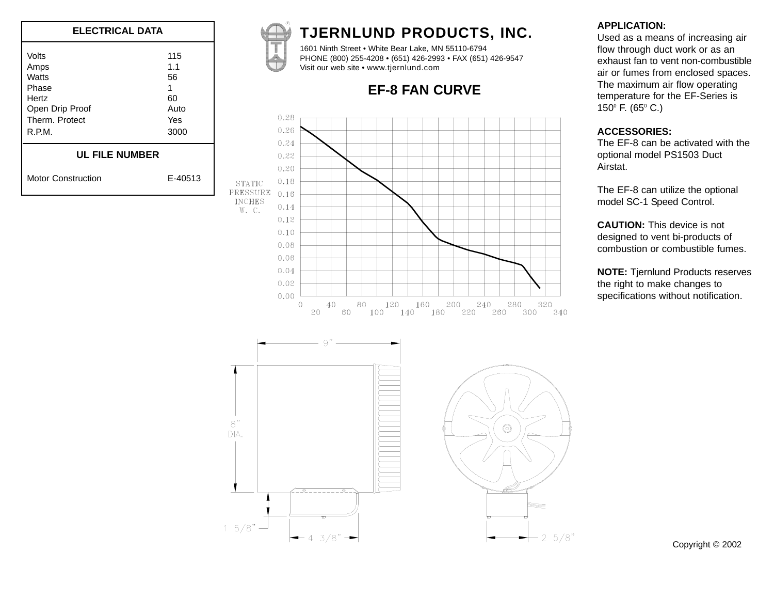| <b>ELECTRICAL DATA</b>                                                                  |                                                   |  |
|-----------------------------------------------------------------------------------------|---------------------------------------------------|--|
| Volts<br>Amps<br>Watts<br>Phase<br>Hertz<br>Open Drip Proof<br>Therm. Protect<br>R.P.M. | 115<br>11<br>56<br>1<br>60<br>Auto<br>Yes<br>3000 |  |
| <b>UL FILE NUMBER</b>                                                                   |                                                   |  |
| <b>Motor Construction</b>                                                               | E-40513                                           |  |

# **TJERNLUND PRODUCTS, INC.**

1601 Ninth Street • White Bear Lake, MN 55110-6794 PHONE (800) 255-4208 • (651) 426-2993 • FAX (651) 426-9547 Visit our web site • www.tjernlund.com

## **EF-8 FAN CURVE**



#### **APPLICATION:**

Used as a means of increasing air flow through duct work or as an exhaust fan to vent non-combustible air or fumes from enclosed spaces. The maximum air flow operating temperature for the EF-Series is 150 $^{\circ}$  F. (65 $^{\circ}$  C.)

#### **ACCESSORIES:**

The EF-8 can be activated with the optional model PS1503 Duct Airstat.

The EF-8 can utilize the optional model SC-1 Speed Control.

**CAUTION:** This device is not designed to vent bi-products of combustion or combustible fumes.

**NOTE:** Tjernlund Products reserves the right to make changes to specifications without notification.





Copyright © 2002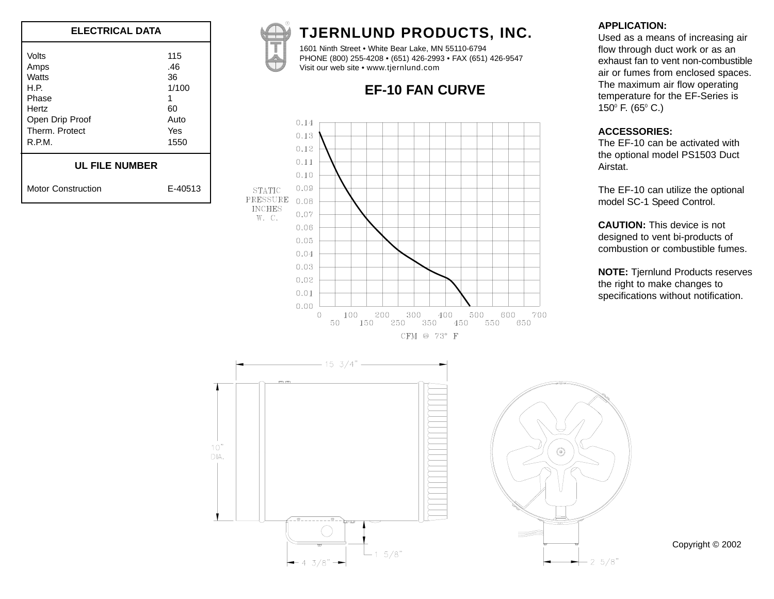| <b>ELECTRICAL DATA</b>                                                                                        |                                                        |  |
|---------------------------------------------------------------------------------------------------------------|--------------------------------------------------------|--|
| Volts<br>Amps<br><b>Watts</b><br>H.P.<br>Phase<br><b>Hertz</b><br>Open Drip Proof<br>Therm. Protect<br>R.P.M. | 115<br>.46<br>36<br>1/100<br>60<br>Auto<br>Yes<br>1550 |  |
|                                                                                                               |                                                        |  |

#### **UL FILE NUMBER**

Motor Construction E-40513



# **TJERNLUND PRODUCTS, INC.**

1601 Ninth Street • White Bear Lake, MN 55110-6794 PHONE (800) 255-4208 • (651) 426-2993 • FAX (651) 426-9547 Visit our web site • www.tjernlund.com

## **EF-10 FAN CURVE**



#### **APPLICATION:**

Used as a means of increasing air flow through duct work or as an exhaust fan to vent non-combustible air or fumes from enclosed spaces. The maximum air flow operating temperature for the EF-Series is  $150^{\circ}$  F. (65 $^{\circ}$  C.)

#### **ACCESSORIES:**

The EF-10 can be activated with the optional model PS1503 Duct Airstat.

The EF-10 can utilize the optional model SC-1 Speed Control.

**CAUTION:** This device is not designed to vent bi-products of combustion or combustible fumes.

**NOTE:** Tjernlund Products reserves the right to make changes to specifications without notification.





Copyright © 2002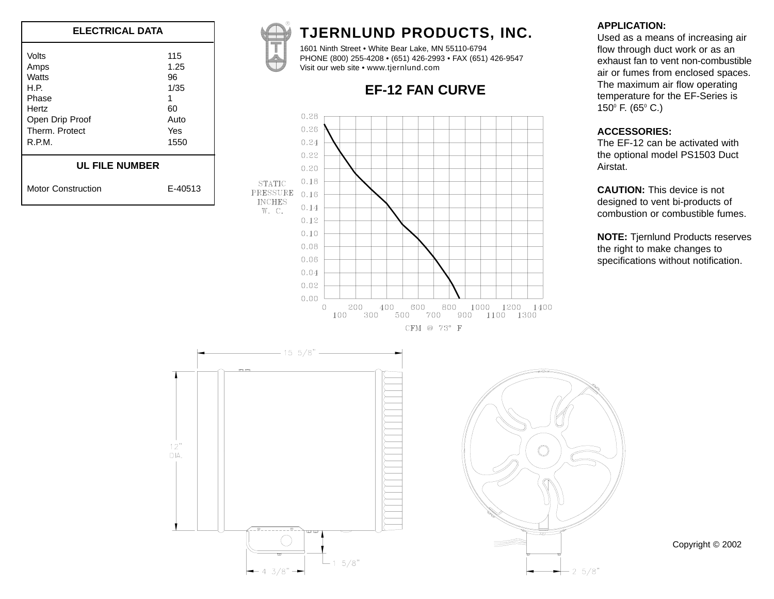| <b>ELECTRICAL DATA</b>                                                                                 |                                                             |  |
|--------------------------------------------------------------------------------------------------------|-------------------------------------------------------------|--|
| Volts<br>Amps<br><b>Watts</b><br>H.P.<br>Phase<br>Hertz<br>Open Drip Proof<br>Therm. Protect<br>R.P.M. | 115<br>1.25<br>96<br>1/35<br>1<br>60<br>Auto<br>Yes<br>1550 |  |
| <b>UL FILE NUMBER</b>                                                                                  |                                                             |  |
| <b>Motor Construction</b>                                                                              | E-40513                                                     |  |

# **TJERNLUND PRODUCTS, INC.**

1601 Ninth Street • White Bear Lake, MN 55110-6794 PHONE (800) 255-4208 • (651) 426-2993 • FAX (651) 426-9547 Visit our web site • www.tjernlund.com

## **EF-12 FAN CURVE**



#### **APPLICATION:**

Used as a means of increasing air flow through duct work or as an exhaust fan to vent non-combustible air or fumes from enclosed spaces. The maximum air flow operating temperature for the EF-Series is 150 $^{\circ}$  F. (65 $^{\circ}$  C.)

#### **ACCESSORIES:**

The EF-12 can be activated with the optional model PS1503 Duct Airstat.

**CAUTION:** This device is not designed to vent bi-products of combustion or combustible fumes.

**NOTE:** Tjernlund Products reserves the right to make changes to specifications without notification.





Copyright © 2002